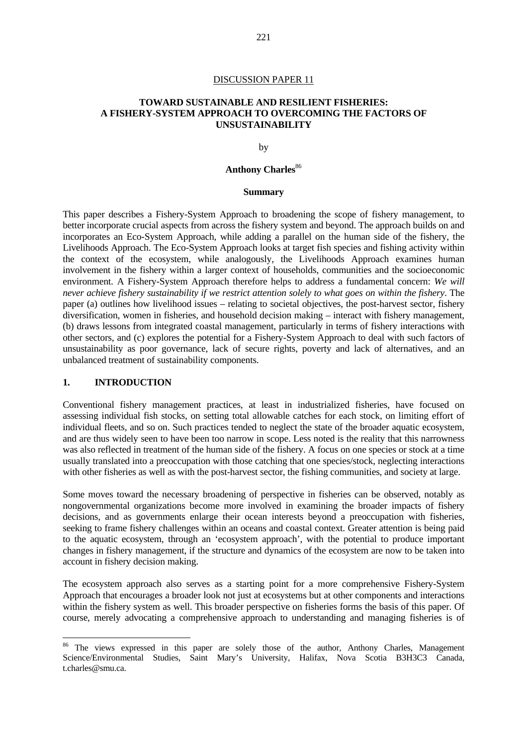### **TOWARD SUSTAINABLE AND RESILIENT FISHERIES: A FISHERY-SYSTEM APPROACH TO OVERCOMING THE FACTORS OF UNSUSTAINABILITY**

by

# **Anthony Charles**<sup>86</sup>

#### **Summary**

This paper describes a Fishery-System Approach to broadening the scope of fishery management, to better incorporate crucial aspects from across the fishery system and beyond. The approach builds on and incorporates an Eco-System Approach, while adding a parallel on the human side of the fishery, the Livelihoods Approach. The Eco-System Approach looks at target fish species and fishing activity within the context of the ecosystem, while analogously, the Livelihoods Approach examines human involvement in the fishery within a larger context of households, communities and the socioeconomic environment. A Fishery-System Approach therefore helps to address a fundamental concern: *We will never achieve fishery sustainability if we restrict attention solely to what goes on within the fishery*. The paper (a) outlines how livelihood issues – relating to societal objectives, the post-harvest sector, fishery diversification, women in fisheries, and household decision making – interact with fishery management, (b) draws lessons from integrated coastal management, particularly in terms of fishery interactions with other sectors, and (c) explores the potential for a Fishery-System Approach to deal with such factors of unsustainability as poor governance, lack of secure rights, poverty and lack of alternatives, and an unbalanced treatment of sustainability components.

### **1. INTRODUCTION**

 $\overline{a}$ 

Conventional fishery management practices, at least in industrialized fisheries, have focused on assessing individual fish stocks, on setting total allowable catches for each stock, on limiting effort of individual fleets, and so on. Such practices tended to neglect the state of the broader aquatic ecosystem, and are thus widely seen to have been too narrow in scope. Less noted is the reality that this narrowness was also reflected in treatment of the human side of the fishery. A focus on one species or stock at a time usually translated into a preoccupation with those catching that one species/stock, neglecting interactions with other fisheries as well as with the post-harvest sector, the fishing communities, and society at large.

Some moves toward the necessary broadening of perspective in fisheries can be observed, notably as nongovernmental organizations become more involved in examining the broader impacts of fishery decisions, and as governments enlarge their ocean interests beyond a preoccupation with fisheries, seeking to frame fishery challenges within an oceans and coastal context. Greater attention is being paid to the aquatic ecosystem, through an 'ecosystem approach', with the potential to produce important changes in fishery management, if the structure and dynamics of the ecosystem are now to be taken into account in fishery decision making.

The ecosystem approach also serves as a starting point for a more comprehensive Fishery-System Approach that encourages a broader look not just at ecosystems but at other components and interactions within the fishery system as well. This broader perspective on fisheries forms the basis of this paper. Of course, merely advocating a comprehensive approach to understanding and managing fisheries is of

<sup>&</sup>lt;sup>86</sup> The views expressed in this paper are solely those of the author, Anthony Charles, Management Science/Environmental Studies, Saint Mary's University, Halifax, Nova Scotia B3H3C3 Canada, t.charles@smu.ca.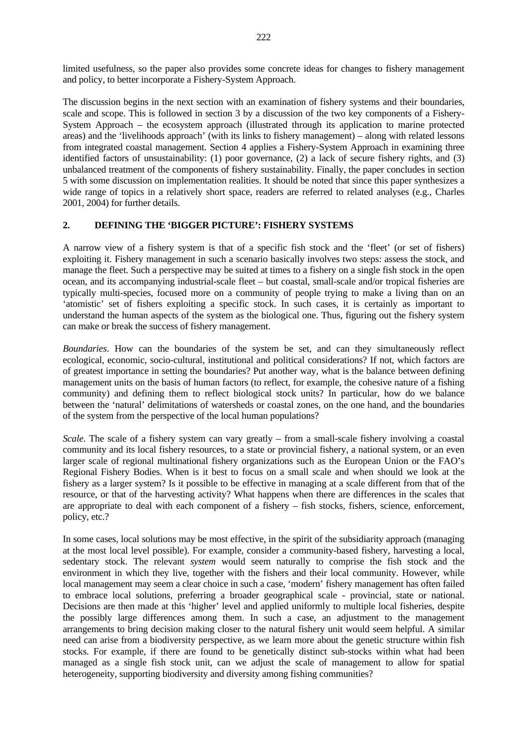limited usefulness, so the paper also provides some concrete ideas for changes to fishery management and policy, to better incorporate a Fishery-System Approach.

The discussion begins in the next section with an examination of fishery systems and their boundaries, scale and scope. This is followed in section 3 by a discussion of the two key components of a Fishery-System Approach – the ecosystem approach (illustrated through its application to marine protected areas) and the 'livelihoods approach' (with its links to fishery management) – along with related lessons from integrated coastal management. Section 4 applies a Fishery-System Approach in examining three identified factors of unsustainability: (1) poor governance, (2) a lack of secure fishery rights, and (3) unbalanced treatment of the components of fishery sustainability. Finally, the paper concludes in section 5 with some discussion on implementation realities. It should be noted that since this paper synthesizes a wide range of topics in a relatively short space, readers are referred to related analyses (e.g., Charles 2001, 2004) for further details.

#### **2. DEFINING THE 'BIGGER PICTURE': FISHERY SYSTEMS**

A narrow view of a fishery system is that of a specific fish stock and the 'fleet' (or set of fishers) exploiting it. Fishery management in such a scenario basically involves two steps: assess the stock, and manage the fleet. Such a perspective may be suited at times to a fishery on a single fish stock in the open ocean, and its accompanying industrial-scale fleet – but coastal, small-scale and/or tropical fisheries are typically multi-species, focused more on a community of people trying to make a living than on an 'atomistic' set of fishers exploiting a specific stock. In such cases, it is certainly as important to understand the human aspects of the system as the biological one. Thus, figuring out the fishery system can make or break the success of fishery management.

*Boundaries*. How can the boundaries of the system be set, and can they simultaneously reflect ecological, economic, socio-cultural, institutional and political considerations? If not, which factors are of greatest importance in setting the boundaries? Put another way, what is the balance between defining management units on the basis of human factors (to reflect, for example, the cohesive nature of a fishing community) and defining them to reflect biological stock units? In particular, how do we balance between the 'natural' delimitations of watersheds or coastal zones, on the one hand, and the boundaries of the system from the perspective of the local human populations?

*Scale*. The scale of a fishery system can vary greatly – from a small-scale fishery involving a coastal community and its local fishery resources, to a state or provincial fishery, a national system, or an even larger scale of regional multinational fishery organizations such as the European Union or the FAO's Regional Fishery Bodies. When is it best to focus on a small scale and when should we look at the fishery as a larger system? Is it possible to be effective in managing at a scale different from that of the resource, or that of the harvesting activity? What happens when there are differences in the scales that are appropriate to deal with each component of a fishery – fish stocks, fishers, science, enforcement, policy, etc.?

In some cases, local solutions may be most effective, in the spirit of the subsidiarity approach (managing at the most local level possible). For example, consider a community-based fishery, harvesting a local, sedentary stock. The relevant *system* would seem naturally to comprise the fish stock and the environment in which they live, together with the fishers and their local community. However, while local management may seem a clear choice in such a case, 'modern' fishery management has often failed to embrace local solutions, preferring a broader geographical scale - provincial, state or national. Decisions are then made at this 'higher' level and applied uniformly to multiple local fisheries, despite the possibly large differences among them. In such a case, an adjustment to the management arrangements to bring decision making closer to the natural fishery unit would seem helpful. A similar need can arise from a biodiversity perspective, as we learn more about the genetic structure within fish stocks. For example, if there are found to be genetically distinct sub-stocks within what had been managed as a single fish stock unit, can we adjust the scale of management to allow for spatial heterogeneity, supporting biodiversity and diversity among fishing communities?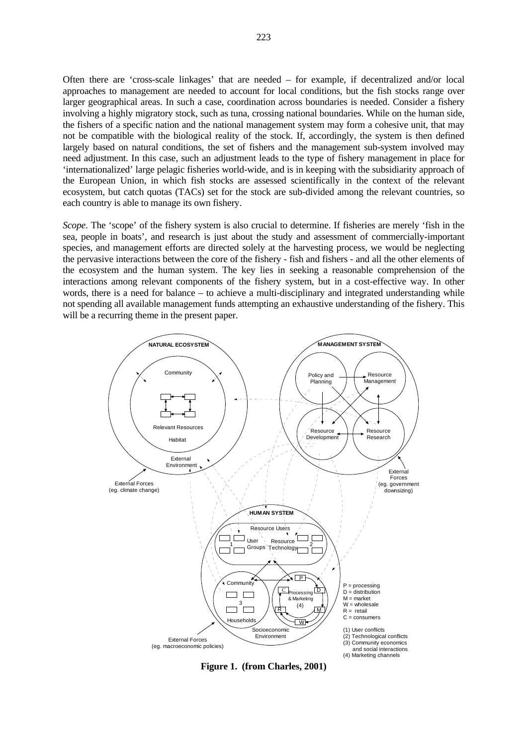Often there are 'cross-scale linkages' that are needed – for example, if decentralized and/or local approaches to management are needed to account for local conditions, but the fish stocks range over larger geographical areas. In such a case, coordination across boundaries is needed. Consider a fishery involving a highly migratory stock, such as tuna, crossing national boundaries. While on the human side, the fishers of a specific nation and the national management system may form a cohesive unit, that may not be compatible with the biological reality of the stock. If, accordingly, the system is then defined largely based on natural conditions, the set of fishers and the management sub-system involved may need adjustment. In this case, such an adjustment leads to the type of fishery management in place for 'internationalized' large pelagic fisheries world-wide, and is in keeping with the subsidiarity approach of the European Union, in which fish stocks are assessed scientifically in the context of the relevant ecosystem, but catch quotas (TACs) set for the stock are sub-divided among the relevant countries, so each country is able to manage its own fishery.

*Scope*. The 'scope' of the fishery system is also crucial to determine. If fisheries are merely 'fish in the sea, people in boats', and research is just about the study and assessment of commercially-important species, and management efforts are directed solely at the harvesting process, we would be neglecting the pervasive interactions between the core of the fishery - fish and fishers - and all the other elements of the ecosystem and the human system. The key lies in seeking a reasonable comprehension of the interactions among relevant components of the fishery system, but in a cost-effective way. In other words, there is a need for balance – to achieve a multi-disciplinary and integrated understanding while not spending all available management funds attempting an exhaustive understanding of the fishery. This will be a recurring theme in the present paper.



**Figure 1. (from Charles, 2001)**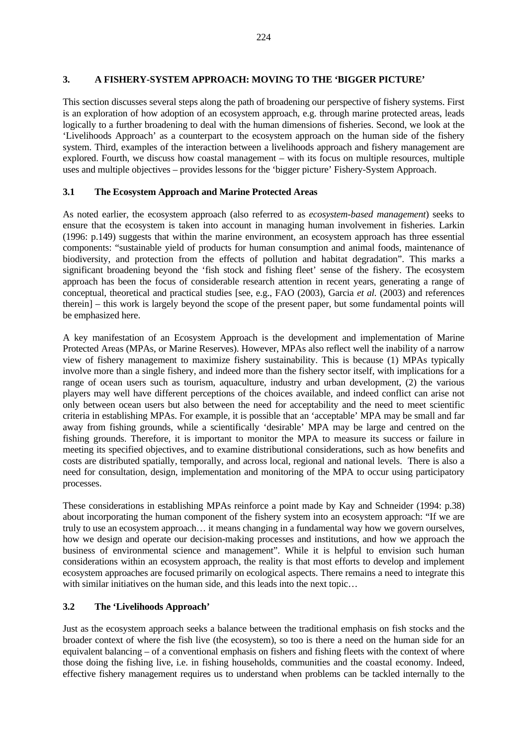### **3. A FISHERY-SYSTEM APPROACH: MOVING TO THE 'BIGGER PICTURE'**

This section discusses several steps along the path of broadening our perspective of fishery systems. First is an exploration of how adoption of an ecosystem approach, e.g. through marine protected areas, leads logically to a further broadening to deal with the human dimensions of fisheries. Second, we look at the 'Livelihoods Approach' as a counterpart to the ecosystem approach on the human side of the fishery system. Third, examples of the interaction between a livelihoods approach and fishery management are explored. Fourth, we discuss how coastal management – with its focus on multiple resources, multiple uses and multiple objectives – provides lessons for the 'bigger picture' Fishery-System Approach.

# **3.1 The Ecosystem Approach and Marine Protected Areas**

As noted earlier, the ecosystem approach (also referred to as *ecosystem-based management*) seeks to ensure that the ecosystem is taken into account in managing human involvement in fisheries. Larkin (1996: p.149) suggests that within the marine environment, an ecosystem approach has three essential components: "sustainable yield of products for human consumption and animal foods, maintenance of biodiversity, and protection from the effects of pollution and habitat degradation". This marks a significant broadening beyond the 'fish stock and fishing fleet' sense of the fishery. The ecosystem approach has been the focus of considerable research attention in recent years, generating a range of conceptual, theoretical and practical studies [see, e.g., FAO (2003), Garcia *et al.* (2003) and references therein] – this work is largely beyond the scope of the present paper, but some fundamental points will be emphasized here.

A key manifestation of an Ecosystem Approach is the development and implementation of Marine Protected Areas (MPAs, or Marine Reserves). However, MPAs also reflect well the inability of a narrow view of fishery management to maximize fishery sustainability. This is because (1) MPAs typically involve more than a single fishery, and indeed more than the fishery sector itself, with implications for a range of ocean users such as tourism, aquaculture, industry and urban development, (2) the various players may well have different perceptions of the choices available, and indeed conflict can arise not only between ocean users but also between the need for acceptability and the need to meet scientific criteria in establishing MPAs. For example, it is possible that an 'acceptable' MPA may be small and far away from fishing grounds, while a scientifically 'desirable' MPA may be large and centred on the fishing grounds. Therefore, it is important to monitor the MPA to measure its success or failure in meeting its specified objectives, and to examine distributional considerations, such as how benefits and costs are distributed spatially, temporally, and across local, regional and national levels. There is also a need for consultation, design, implementation and monitoring of the MPA to occur using participatory processes.

These considerations in establishing MPAs reinforce a point made by Kay and Schneider (1994: p.38) about incorporating the human component of the fishery system into an ecosystem approach: "If we are truly to use an ecosystem approach… it means changing in a fundamental way how we govern ourselves, how we design and operate our decision-making processes and institutions, and how we approach the business of environmental science and management". While it is helpful to envision such human considerations within an ecosystem approach, the reality is that most efforts to develop and implement ecosystem approaches are focused primarily on ecological aspects. There remains a need to integrate this with similar initiatives on the human side, and this leads into the next topic...

# **3.2 The 'Livelihoods Approach'**

Just as the ecosystem approach seeks a balance between the traditional emphasis on fish stocks and the broader context of where the fish live (the ecosystem), so too is there a need on the human side for an equivalent balancing – of a conventional emphasis on fishers and fishing fleets with the context of where those doing the fishing live, i.e. in fishing households, communities and the coastal economy. Indeed, effective fishery management requires us to understand when problems can be tackled internally to the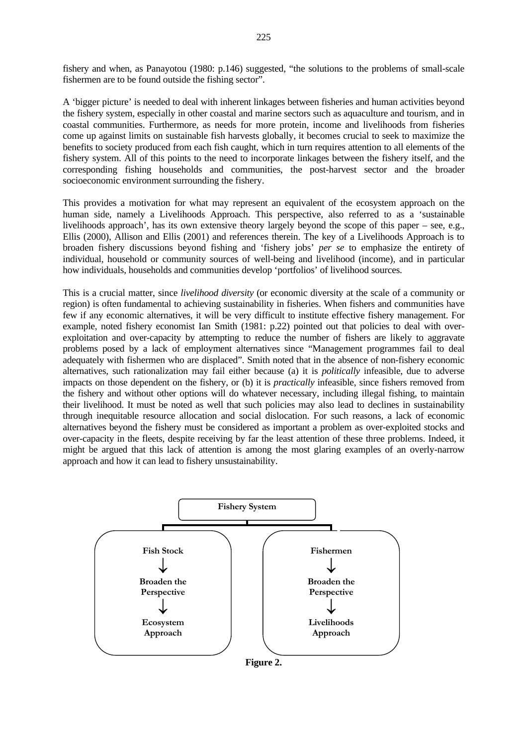fishery and when, as Panayotou (1980: p.146) suggested, "the solutions to the problems of small-scale fishermen are to be found outside the fishing sector".

A 'bigger picture' is needed to deal with inherent linkages between fisheries and human activities beyond the fishery system, especially in other coastal and marine sectors such as aquaculture and tourism, and in coastal communities. Furthermore, as needs for more protein, income and livelihoods from fisheries come up against limits on sustainable fish harvests globally, it becomes crucial to seek to maximize the benefits to society produced from each fish caught, which in turn requires attention to all elements of the fishery system. All of this points to the need to incorporate linkages between the fishery itself, and the corresponding fishing households and communities, the post-harvest sector and the broader socioeconomic environment surrounding the fishery.

This provides a motivation for what may represent an equivalent of the ecosystem approach on the human side, namely a Livelihoods Approach. This perspective, also referred to as a 'sustainable livelihoods approach', has its own extensive theory largely beyond the scope of this paper – see, e.g., Ellis (2000), Allison and Ellis (2001) and references therein. The key of a Livelihoods Approach is to broaden fishery discussions beyond fishing and 'fishery jobs' *per se* to emphasize the entirety of individual, household or community sources of well-being and livelihood (income), and in particular how individuals, households and communities develop 'portfolios' of livelihood sources.

This is a crucial matter, since *livelihood diversity* (or economic diversity at the scale of a community or region) is often fundamental to achieving sustainability in fisheries. When fishers and communities have few if any economic alternatives, it will be very difficult to institute effective fishery management. For example, noted fishery economist Ian Smith (1981: p.22) pointed out that policies to deal with overexploitation and over-capacity by attempting to reduce the number of fishers are likely to aggravate problems posed by a lack of employment alternatives since "Management programmes fail to deal adequately with fishermen who are displaced". Smith noted that in the absence of non-fishery economic alternatives, such rationalization may fail either because (a) it is *politically* infeasible, due to adverse impacts on those dependent on the fishery, or (b) it is *practically* infeasible, since fishers removed from the fishery and without other options will do whatever necessary, including illegal fishing, to maintain their livelihood. It must be noted as well that such policies may also lead to declines in sustainability through inequitable resource allocation and social dislocation. For such reasons, a lack of economic alternatives beyond the fishery must be considered as important a problem as over-exploited stocks and over-capacity in the fleets, despite receiving by far the least attention of these three problems. Indeed, it might be argued that this lack of attention is among the most glaring examples of an overly-narrow approach and how it can lead to fishery unsustainability.



**Figure 2.**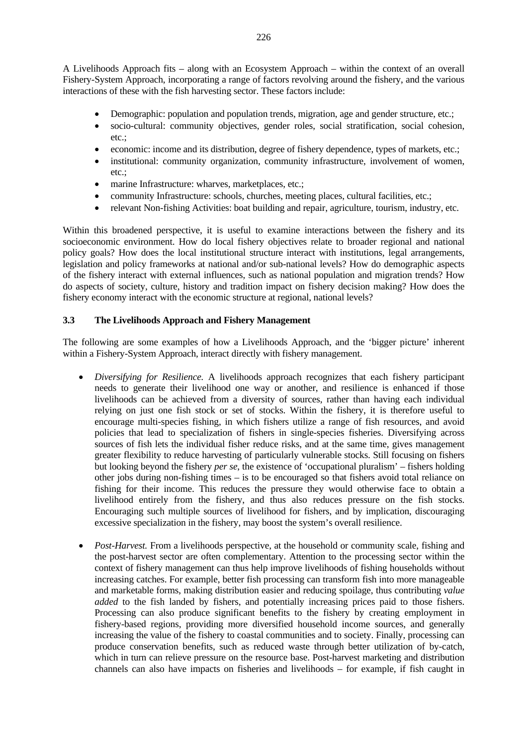A Livelihoods Approach fits – along with an Ecosystem Approach – within the context of an overall Fishery-System Approach, incorporating a range of factors revolving around the fishery, and the various interactions of these with the fish harvesting sector. These factors include:

- Demographic: population and population trends, migration, age and gender structure, etc.;
- socio-cultural: community objectives, gender roles, social stratification, social cohesion, etc.;
- economic: income and its distribution, degree of fishery dependence, types of markets, etc.;
- institutional: community organization, community infrastructure, involvement of women, etc.;
- marine Infrastructure: wharves, marketplaces, etc.;
- community Infrastructure: schools, churches, meeting places, cultural facilities, etc.;
- relevant Non-fishing Activities: boat building and repair, agriculture, tourism, industry, etc.

Within this broadened perspective, it is useful to examine interactions between the fishery and its socioeconomic environment. How do local fishery objectives relate to broader regional and national policy goals? How does the local institutional structure interact with institutions, legal arrangements, legislation and policy frameworks at national and/or sub-national levels? How do demographic aspects of the fishery interact with external influences, such as national population and migration trends? How do aspects of society, culture, history and tradition impact on fishery decision making? How does the fishery economy interact with the economic structure at regional, national levels?

### **3.3 The Livelihoods Approach and Fishery Management**

The following are some examples of how a Livelihoods Approach, and the 'bigger picture' inherent within a Fishery-System Approach, interact directly with fishery management.

- *Diversifying for Resilience.* A livelihoods approach recognizes that each fishery participant needs to generate their livelihood one way or another, and resilience is enhanced if those livelihoods can be achieved from a diversity of sources, rather than having each individual relying on just one fish stock or set of stocks. Within the fishery, it is therefore useful to encourage multi-species fishing, in which fishers utilize a range of fish resources, and avoid policies that lead to specialization of fishers in single-species fisheries. Diversifying across sources of fish lets the individual fisher reduce risks, and at the same time, gives management greater flexibility to reduce harvesting of particularly vulnerable stocks. Still focusing on fishers but looking beyond the fishery *per se*, the existence of 'occupational pluralism' – fishers holding other jobs during non-fishing times – is to be encouraged so that fishers avoid total reliance on fishing for their income. This reduces the pressure they would otherwise face to obtain a livelihood entirely from the fishery, and thus also reduces pressure on the fish stocks. Encouraging such multiple sources of livelihood for fishers, and by implication, discouraging excessive specialization in the fishery, may boost the system's overall resilience.
- *Post-Harvest.* From a livelihoods perspective, at the household or community scale, fishing and the post-harvest sector are often complementary. Attention to the processing sector within the context of fishery management can thus help improve livelihoods of fishing households without increasing catches. For example, better fish processing can transform fish into more manageable and marketable forms, making distribution easier and reducing spoilage, thus contributing *value added* to the fish landed by fishers, and potentially increasing prices paid to those fishers. Processing can also produce significant benefits to the fishery by creating employment in fishery-based regions, providing more diversified household income sources, and generally increasing the value of the fishery to coastal communities and to society. Finally, processing can produce conservation benefits, such as reduced waste through better utilization of by-catch, which in turn can relieve pressure on the resource base. Post-harvest marketing and distribution channels can also have impacts on fisheries and livelihoods – for example, if fish caught in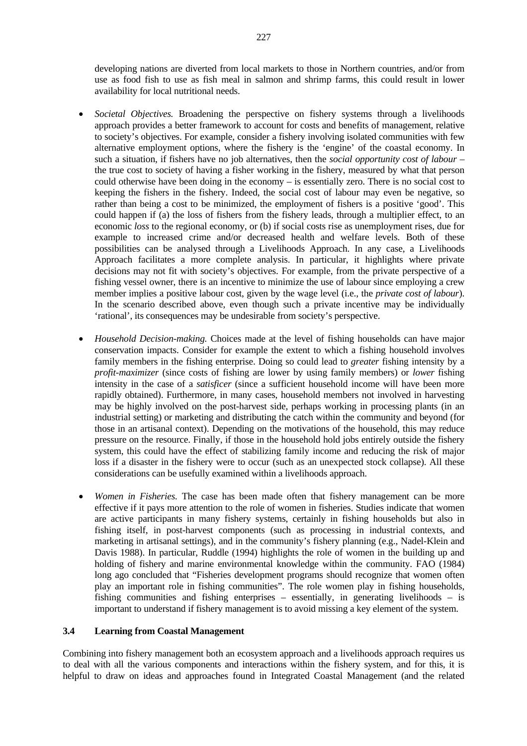developing nations are diverted from local markets to those in Northern countries, and/or from use as food fish to use as fish meal in salmon and shrimp farms, this could result in lower availability for local nutritional needs.

- *Societal Objectives.* Broadening the perspective on fishery systems through a livelihoods approach provides a better framework to account for costs and benefits of management, relative to society's objectives. For example, consider a fishery involving isolated communities with few alternative employment options, where the fishery is the 'engine' of the coastal economy. In such a situation, if fishers have no job alternatives, then the *social opportunity cost of labour* – the true cost to society of having a fisher working in the fishery, measured by what that person could otherwise have been doing in the economy – is essentially zero. There is no social cost to keeping the fishers in the fishery. Indeed, the social cost of labour may even be negative, so rather than being a cost to be minimized, the employment of fishers is a positive 'good'. This could happen if (a) the loss of fishers from the fishery leads, through a multiplier effect, to an economic *loss* to the regional economy, or (b) if social costs rise as unemployment rises, due for example to increased crime and/or decreased health and welfare levels. Both of these possibilities can be analysed through a Livelihoods Approach. In any case, a Livelihoods Approach facilitates a more complete analysis. In particular, it highlights where private decisions may not fit with society's objectives. For example, from the private perspective of a fishing vessel owner, there is an incentive to minimize the use of labour since employing a crew member implies a positive labour cost, given by the wage level (i.e., the *private cost of labour*). In the scenario described above, even though such a private incentive may be individually 'rational', its consequences may be undesirable from society's perspective.
- *Household Decision-making.* Choices made at the level of fishing households can have major conservation impacts. Consider for example the extent to which a fishing household involves family members in the fishing enterprise. Doing so could lead to *greater* fishing intensity by a *profit-maximizer* (since costs of fishing are lower by using family members) or *lower* fishing intensity in the case of a *satisficer* (since a sufficient household income will have been more rapidly obtained). Furthermore, in many cases, household members not involved in harvesting may be highly involved on the post-harvest side, perhaps working in processing plants (in an industrial setting) or marketing and distributing the catch within the community and beyond (for those in an artisanal context). Depending on the motivations of the household, this may reduce pressure on the resource. Finally, if those in the household hold jobs entirely outside the fishery system, this could have the effect of stabilizing family income and reducing the risk of major loss if a disaster in the fishery were to occur (such as an unexpected stock collapse). All these considerations can be usefully examined within a livelihoods approach.
- *Women in Fisheries*. The case has been made often that fishery management can be more effective if it pays more attention to the role of women in fisheries. Studies indicate that women are active participants in many fishery systems, certainly in fishing households but also in fishing itself, in post-harvest components (such as processing in industrial contexts, and marketing in artisanal settings), and in the community's fishery planning (e.g., Nadel-Klein and Davis 1988). In particular, Ruddle (1994) highlights the role of women in the building up and holding of fishery and marine environmental knowledge within the community. FAO (1984) long ago concluded that "Fisheries development programs should recognize that women often play an important role in fishing communities". The role women play in fishing households, fishing communities and fishing enterprises – essentially, in generating livelihoods – is important to understand if fishery management is to avoid missing a key element of the system.

#### **3.4 Learning from Coastal Management**

Combining into fishery management both an ecosystem approach and a livelihoods approach requires us to deal with all the various components and interactions within the fishery system, and for this, it is helpful to draw on ideas and approaches found in Integrated Coastal Management (and the related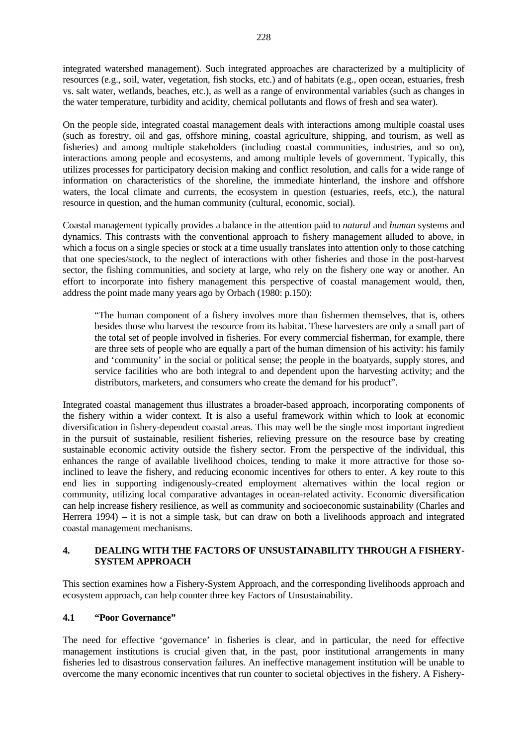integrated watershed management). Such integrated approaches are characterized by a multiplicity of resources (e.g., soil, water, vegetation, fish stocks, etc.) and of habitats (e.g., open ocean, estuaries, fresh vs. salt water, wetlands, beaches, etc.), as well as a range of environmental variables (such as changes in the water temperature, turbidity and acidity, chemical pollutants and flows of fresh and sea water).

On the people side, integrated coastal management deals with interactions among multiple coastal uses (such as forestry, oil and gas, offshore mining, coastal agriculture, shipping, and tourism, as well as fisheries) and among multiple stakeholders (including coastal communities, industries, and so on), interactions among people and ecosystems, and among multiple levels of government. Typically, this utilizes processes for participatory decision making and conflict resolution, and calls for a wide range of information on characteristics of the shoreline, the immediate hinterland, the inshore and offshore waters, the local climate and currents, the ecosystem in question (estuaries, reefs, etc.), the natural resource in question, and the human community (cultural, economic, social).

Coastal management typically provides a balance in the attention paid to *natural* and *human* systems and dynamics. This contrasts with the conventional approach to fishery management alluded to above, in which a focus on a single species or stock at a time usually translates into attention only to those catching that one species/stock, to the neglect of interactions with other fisheries and those in the post-harvest sector, the fishing communities, and society at large, who rely on the fishery one way or another. An effort to incorporate into fishery management this perspective of coastal management would, then, address the point made many years ago by Orbach (1980: p.150):

"The human component of a fishery involves more than fishermen themselves, that is, others besides those who harvest the resource from its habitat. These harvesters are only a small part of the total set of people involved in fisheries. For every commercial fisherman, for example, there are three sets of people who are equally a part of the human dimension of his activity: his family and 'community' in the social or political sense; the people in the boatyards, supply stores, and service facilities who are both integral to and dependent upon the harvesting activity; and the distributors, marketers, and consumers who create the demand for his product".

Integrated coastal management thus illustrates a broader-based approach, incorporating components of the fishery within a wider context. It is also a useful framework within which to look at economic diversification in fishery-dependent coastal areas. This may well be the single most important ingredient in the pursuit of sustainable, resilient fisheries, relieving pressure on the resource base by creating sustainable economic activity outside the fishery sector. From the perspective of the individual, this enhances the range of available livelihood choices, tending to make it more attractive for those soinclined to leave the fishery, and reducing economic incentives for others to enter. A key route to this end lies in supporting indigenously-created employment alternatives within the local region or community, utilizing local comparative advantages in ocean-related activity. Economic diversification can help increase fishery resilience, as well as community and socioeconomic sustainability (Charles and Herrera 1994) – it is not a simple task, but can draw on both a livelihoods approach and integrated coastal management mechanisms.

### **4. DEALING WITH THE FACTORS OF UNSUSTAINABILITY THROUGH A FISHERY-SYSTEM APPROACH**

This section examines how a Fishery-System Approach, and the corresponding livelihoods approach and ecosystem approach, can help counter three key Factors of Unsustainability.

# **4.1 "Poor Governance"**

The need for effective 'governance' in fisheries is clear, and in particular, the need for effective management institutions is crucial given that, in the past, poor institutional arrangements in many fisheries led to disastrous conservation failures. An ineffective management institution will be unable to overcome the many economic incentives that run counter to societal objectives in the fishery. A Fishery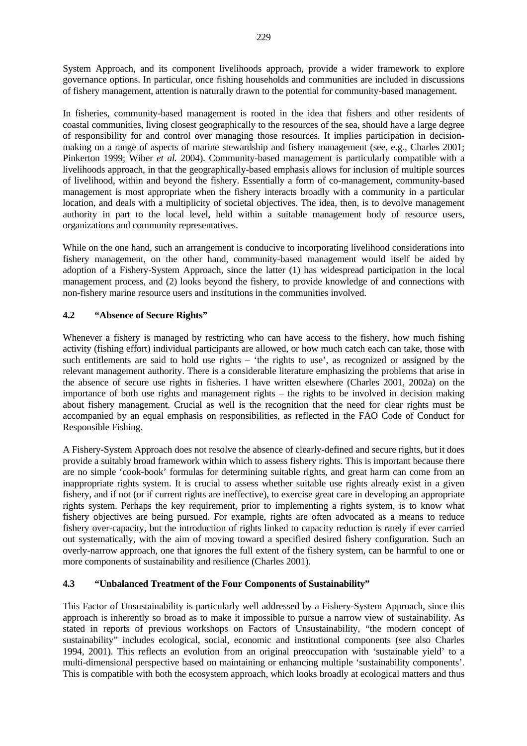System Approach, and its component livelihoods approach, provide a wider framework to explore governance options. In particular, once fishing households and communities are included in discussions of fishery management, attention is naturally drawn to the potential for community-based management.

In fisheries, community-based management is rooted in the idea that fishers and other residents of coastal communities, living closest geographically to the resources of the sea, should have a large degree of responsibility for and control over managing those resources. It implies participation in decisionmaking on a range of aspects of marine stewardship and fishery management (see, e.g., Charles 2001; Pinkerton 1999; Wiber *et al.* 2004). Community-based management is particularly compatible with a livelihoods approach, in that the geographically-based emphasis allows for inclusion of multiple sources of livelihood, within and beyond the fishery. Essentially a form of co-management, community-based management is most appropriate when the fishery interacts broadly with a community in a particular location, and deals with a multiplicity of societal objectives. The idea, then, is to devolve management authority in part to the local level, held within a suitable management body of resource users, organizations and community representatives.

While on the one hand, such an arrangement is conducive to incorporating livelihood considerations into fishery management, on the other hand, community-based management would itself be aided by adoption of a Fishery-System Approach, since the latter (1) has widespread participation in the local management process, and (2) looks beyond the fishery, to provide knowledge of and connections with non-fishery marine resource users and institutions in the communities involved.

# **4.2 "Absence of Secure Rights"**

Whenever a fishery is managed by restricting who can have access to the fishery, how much fishing activity (fishing effort) individual participants are allowed, or how much catch each can take, those with such entitlements are said to hold use rights – 'the rights to use', as recognized or assigned by the relevant management authority. There is a considerable literature emphasizing the problems that arise in the absence of secure use rights in fisheries. I have written elsewhere (Charles 2001, 2002a) on the importance of both use rights and management rights – the rights to be involved in decision making about fishery management. Crucial as well is the recognition that the need for clear rights must be accompanied by an equal emphasis on responsibilities, as reflected in the FAO Code of Conduct for Responsible Fishing.

A Fishery-System Approach does not resolve the absence of clearly-defined and secure rights, but it does provide a suitably broad framework within which to assess fishery rights. This is important because there are no simple 'cook-book' formulas for determining suitable rights, and great harm can come from an inappropriate rights system. It is crucial to assess whether suitable use rights already exist in a given fishery, and if not (or if current rights are ineffective), to exercise great care in developing an appropriate rights system. Perhaps the key requirement, prior to implementing a rights system, is to know what fishery objectives are being pursued. For example, rights are often advocated as a means to reduce fishery over-capacity, but the introduction of rights linked to capacity reduction is rarely if ever carried out systematically, with the aim of moving toward a specified desired fishery configuration. Such an overly-narrow approach, one that ignores the full extent of the fishery system, can be harmful to one or more components of sustainability and resilience (Charles 2001).

# **4.3 "Unbalanced Treatment of the Four Components of Sustainability"**

This Factor of Unsustainability is particularly well addressed by a Fishery-System Approach, since this approach is inherently so broad as to make it impossible to pursue a narrow view of sustainability. As stated in reports of previous workshops on Factors of Unsustainability, "the modern concept of sustainability" includes ecological, social, economic and institutional components (see also Charles 1994, 2001). This reflects an evolution from an original preoccupation with 'sustainable yield' to a multi-dimensional perspective based on maintaining or enhancing multiple 'sustainability components'. This is compatible with both the ecosystem approach, which looks broadly at ecological matters and thus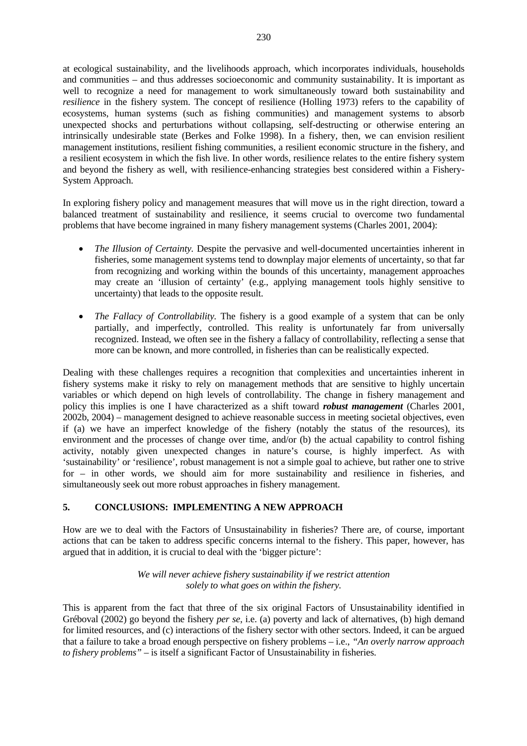at ecological sustainability, and the livelihoods approach, which incorporates individuals, households and communities – and thus addresses socioeconomic and community sustainability. It is important as well to recognize a need for management to work simultaneously toward both sustainability and *resilience* in the fishery system. The concept of resilience (Holling 1973) refers to the capability of ecosystems, human systems (such as fishing communities) and management systems to absorb unexpected shocks and perturbations without collapsing, self-destructing or otherwise entering an intrinsically undesirable state (Berkes and Folke 1998). In a fishery, then, we can envision resilient management institutions, resilient fishing communities, a resilient economic structure in the fishery, and a resilient ecosystem in which the fish live. In other words, resilience relates to the entire fishery system and beyond the fishery as well, with resilience-enhancing strategies best considered within a Fishery-System Approach.

In exploring fishery policy and management measures that will move us in the right direction, toward a balanced treatment of sustainability and resilience, it seems crucial to overcome two fundamental problems that have become ingrained in many fishery management systems (Charles 2001, 2004):

- *The Illusion of Certainty.* Despite the pervasive and well-documented uncertainties inherent in fisheries, some management systems tend to downplay major elements of uncertainty, so that far from recognizing and working within the bounds of this uncertainty, management approaches may create an 'illusion of certainty' (e.g., applying management tools highly sensitive to uncertainty) that leads to the opposite result.
- *The Fallacy of Controllability*. The fishery is a good example of a system that can be only partially, and imperfectly, controlled. This reality is unfortunately far from universally recognized. Instead, we often see in the fishery a fallacy of controllability, reflecting a sense that more can be known, and more controlled, in fisheries than can be realistically expected.

Dealing with these challenges requires a recognition that complexities and uncertainties inherent in fishery systems make it risky to rely on management methods that are sensitive to highly uncertain variables or which depend on high levels of controllability. The change in fishery management and policy this implies is one I have characterized as a shift toward *robust management* (Charles 2001, 2002b, 2004) – management designed to achieve reasonable success in meeting societal objectives, even if (a) we have an imperfect knowledge of the fishery (notably the status of the resources), its environment and the processes of change over time, and/or (b) the actual capability to control fishing activity, notably given unexpected changes in nature's course, is highly imperfect. As with 'sustainability' or 'resilience', robust management is not a simple goal to achieve, but rather one to strive for – in other words, we should aim for more sustainability and resilience in fisheries, and simultaneously seek out more robust approaches in fishery management.

# **5. CONCLUSIONS: IMPLEMENTING A NEW APPROACH**

How are we to deal with the Factors of Unsustainability in fisheries? There are, of course, important actions that can be taken to address specific concerns internal to the fishery. This paper, however, has argued that in addition, it is crucial to deal with the 'bigger picture':

> *We will never achieve fishery sustainability if we restrict attention solely to what goes on within the fishery.*

This is apparent from the fact that three of the six original Factors of Unsustainability identified in Gréboval (2002) go beyond the fishery *per se*, i.e. (a) poverty and lack of alternatives, (b) high demand for limited resources, and (c) interactions of the fishery sector with other sectors. Indeed, it can be argued that a failure to take a broad enough perspective on fishery problems – i.e., *"An overly narrow approach to fishery problems"* – is itself a significant Factor of Unsustainability in fisheries.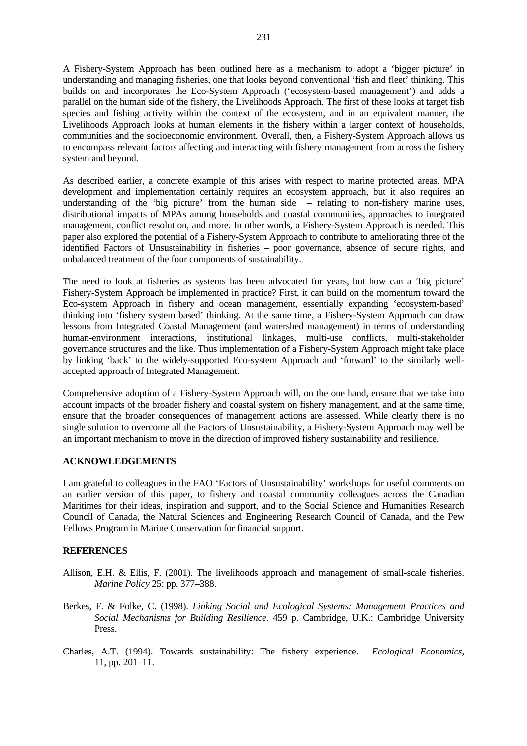A Fishery-System Approach has been outlined here as a mechanism to adopt a 'bigger picture' in understanding and managing fisheries, one that looks beyond conventional 'fish and fleet' thinking. This builds on and incorporates the Eco-System Approach ('ecosystem-based management') and adds a parallel on the human side of the fishery, the Livelihoods Approach. The first of these looks at target fish species and fishing activity within the context of the ecosystem, and in an equivalent manner, the Livelihoods Approach looks at human elements in the fishery within a larger context of households, communities and the socioeconomic environment. Overall, then, a Fishery-System Approach allows us to encompass relevant factors affecting and interacting with fishery management from across the fishery system and beyond.

As described earlier, a concrete example of this arises with respect to marine protected areas. MPA development and implementation certainly requires an ecosystem approach, but it also requires an understanding of the 'big picture' from the human side – relating to non-fishery marine uses, distributional impacts of MPAs among households and coastal communities, approaches to integrated management, conflict resolution, and more. In other words, a Fishery-System Approach is needed. This paper also explored the potential of a Fishery-System Approach to contribute to ameliorating three of the identified Factors of Unsustainability in fisheries – poor governance, absence of secure rights, and unbalanced treatment of the four components of sustainability.

The need to look at fisheries as systems has been advocated for years, but how can a 'big picture' Fishery-System Approach be implemented in practice? First, it can build on the momentum toward the Eco-system Approach in fishery and ocean management, essentially expanding 'ecosystem-based' thinking into 'fishery system based' thinking. At the same time, a Fishery-System Approach can draw lessons from Integrated Coastal Management (and watershed management) in terms of understanding human-environment interactions, institutional linkages, multi-use conflicts, multi-stakeholder governance structures and the like. Thus implementation of a Fishery-System Approach might take place by linking 'back' to the widely-supported Eco-system Approach and 'forward' to the similarly wellaccepted approach of Integrated Management.

Comprehensive adoption of a Fishery-System Approach will, on the one hand, ensure that we take into account impacts of the broader fishery and coastal system on fishery management, and at the same time, ensure that the broader consequences of management actions are assessed. While clearly there is no single solution to overcome all the Factors of Unsustainability, a Fishery-System Approach may well be an important mechanism to move in the direction of improved fishery sustainability and resilience.

### **ACKNOWLEDGEMENTS**

I am grateful to colleagues in the FAO 'Factors of Unsustainability' workshops for useful comments on an earlier version of this paper, to fishery and coastal community colleagues across the Canadian Maritimes for their ideas, inspiration and support, and to the Social Science and Humanities Research Council of Canada, the Natural Sciences and Engineering Research Council of Canada, and the Pew Fellows Program in Marine Conservation for financial support.

### **REFERENCES**

- Allison, E.H. & Ellis, F. (2001). The livelihoods approach and management of small-scale fisheries. *Marine Policy* 25: pp. 377–388.
- Berkes, F. & Folke, C. (1998). *Linking Social and Ecological Systems: Management Practices and Social Mechanisms for Building Resilience*. 459 p. Cambridge, U.K.: Cambridge University Press.
- Charles, A.T. (1994). Towards sustainability: The fishery experience. *Ecological Economics*, 11, pp. 201–11.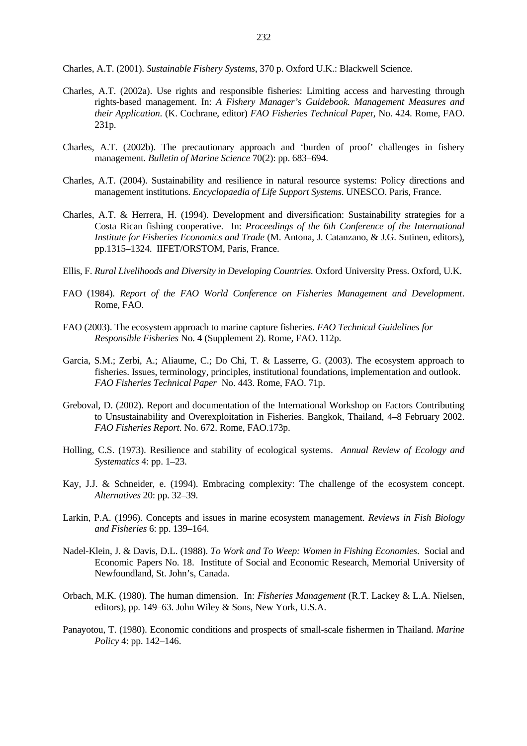Charles, A.T. (2001). *Sustainable Fishery Systems*, 370 p. Oxford U.K.: Blackwell Science.

- Charles, A.T. (2002a). Use rights and responsible fisheries: Limiting access and harvesting through rights-based management. In: *A Fishery Manager's Guidebook. Management Measures and their Application*. (K. Cochrane, editor) *FAO Fisheries Technical Pape*r, No. 424. Rome, FAO. 231p.
- Charles, A.T. (2002b). The precautionary approach and 'burden of proof' challenges in fishery management. *Bulletin of Marine Science* 70(2): pp. 683–694.
- Charles, A.T. (2004). Sustainability and resilience in natural resource systems: Policy directions and management institutions. *Encyclopaedia of Life Support Systems*. UNESCO. Paris, France.
- Charles, A.T. & Herrera, H. (1994). Development and diversification: Sustainability strategies for a Costa Rican fishing cooperative. In: *Proceedings of the 6th Conference of the International Institute for Fisheries Economics and Trade* (M. Antona, J. Catanzano, & J.G. Sutinen, editors), pp.1315–1324. IIFET/ORSTOM, Paris, France.
- Ellis, F. *Rural Livelihoods and Diversity in Developing Countries*. Oxford University Press. Oxford, U.K.
- FAO (1984). *Report of the FAO World Conference on Fisheries Management and Development*. Rome, FAO.
- FAO (2003). The ecosystem approach to marine capture fisheries. *FAO Technical Guidelines for Responsible Fisheries* No. 4 (Supplement 2). Rome, FAO. 112p.
- Garcia, S.M.; Zerbi, A.; Aliaume, C.; Do Chi, T. & Lasserre, G. (2003). The ecosystem approach to fisheries. Issues, terminology, principles, institutional foundations, implementation and outlook. *FAO Fisheries Technical Paper* No. 443. Rome, FAO. 71p.
- Greboval, D. (2002). Report and documentation of the International Workshop on Factors Contributing to Unsustainability and Overexploitation in Fisheries. Bangkok, Thailand, 4–8 February 2002. *FAO Fisheries Report*. No. 672. Rome, FAO.173p.
- Holling, C.S. (1973). Resilience and stability of ecological systems. *Annual Review of Ecology and Systematics* 4: pp. 1–23.
- Kay, J.J. & Schneider, e. (1994). Embracing complexity: The challenge of the ecosystem concept. *Alternatives* 20: pp. 32–39.
- Larkin, P.A. (1996). Concepts and issues in marine ecosystem management. *Reviews in Fish Biology and Fisheries* 6: pp. 139–164.
- Nadel-Klein, J. & Davis, D.L. (1988). *To Work and To Weep: Women in Fishing Economies*. Social and Economic Papers No. 18. Institute of Social and Economic Research, Memorial University of Newfoundland, St. John's, Canada.
- Orbach, M.K. (1980). The human dimension. In: *Fisheries Management* (R.T. Lackey & L.A. Nielsen, editors), pp. 149–63. John Wiley & Sons, New York, U.S.A.
- Panayotou, T. (1980). Economic conditions and prospects of small-scale fishermen in Thailand. *Marine Policy* 4: pp. 142–146.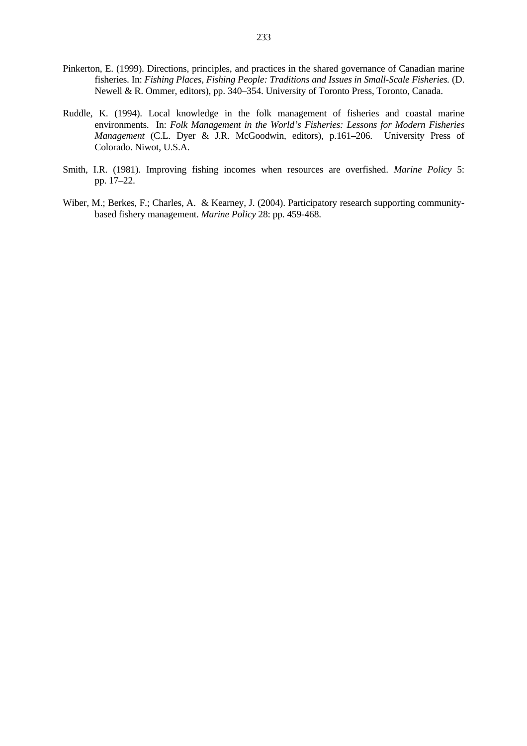- Pinkerton, E. (1999). Directions, principles, and practices in the shared governance of Canadian marine fisheries. In: *Fishing Places, Fishing People: Traditions and Issues in Small-Scale Fisheries.* (D. Newell & R. Ommer, editors), pp. 340–354. University of Toronto Press, Toronto, Canada.
- Ruddle, K. (1994). Local knowledge in the folk management of fisheries and coastal marine environments. In: *Folk Management in the World's Fisheries: Lessons for Modern Fisheries Management* (C.L. Dyer & J.R. McGoodwin, editors), p.161–206. University Press of Colorado. Niwot, U.S.A.
- Smith, I.R. (1981). Improving fishing incomes when resources are overfished. *Marine Policy* 5: pp. 17–22.
- Wiber, M.; Berkes, F.; Charles, A. & Kearney, J. (2004). Participatory research supporting communitybased fishery management. *Marine Policy* 28: pp. 459-468.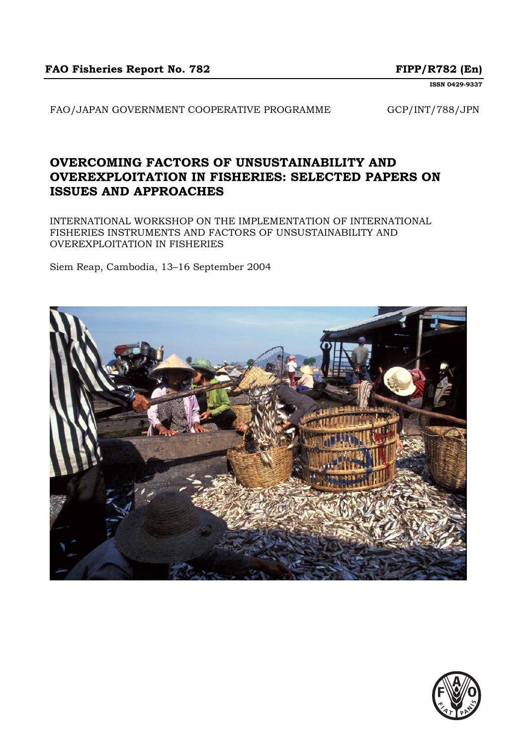**ISSN 0429-9337**

FAO/JAPAN GOVERNMENT COOPERATIVE PROGRAMME GCP/INT/788/JPN

# **OVERCOMING FACTORS OF UNSUSTAINABILITY AND OVEREXPLOITATION IN FISHERIES: SELECTED PAPERS ON ISSUES AND APPROACHES**

INTERNATIONAL WORKSHOP ON THE IMPLEMENTATION OF INTERNATIONAL FISHERIES INSTRUMENTS AND FACTORS OF UNSUSTAINABILITY AND OVEREXPLOITATION IN FISHERIES

Siem Reap, Cambodia, 13–16 September 2004